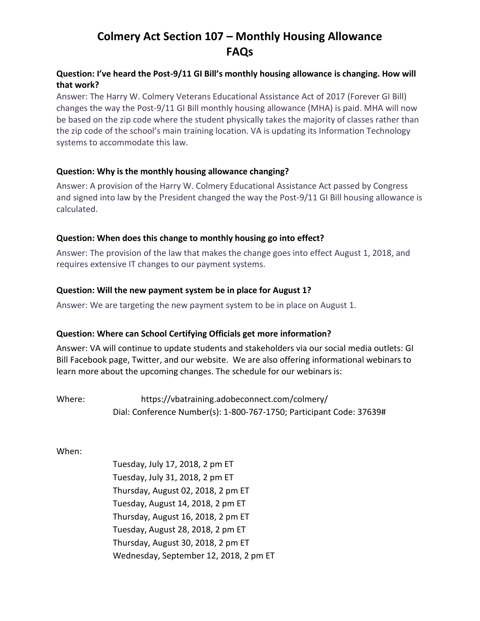# **Colmery Act Section 107 – Monthly Housing Allowance FAQs**

# **Question: I've heard the Post-9/11 GI Bill's monthly housing allowance is changing. How will that work?**

Answer: The Harry W. Colmery Veterans Educational Assistance Act of 2017 (Forever GI Bill) changes the way the Post-9/11 GI Bill monthly housing allowance (MHA) is paid. MHA will now be based on the zip code where the student physically takes the majority of classes rather than the zip code of the school's main training location. VA is updating its Information Technology systems to accommodate this law.

# **Question: Why is the monthly housing allowance changing?**

Answer: A provision of the Harry W. Colmery Educational Assistance Act passed by Congress and signed into law by the President changed the way the Post-9/11 GI Bill housing allowance is calculated.

## **Question: When does this change to monthly housing go into effect?**

Answer: The provision of the law that makes the change goes into effect August 1, 2018, and requires extensive IT changes to our payment systems.

## **Question: Will the new payment system be in place for August 1?**

Answer: We are targeting the new payment system to be in place on August 1.

#### **Question: Where can School Certifying Officials get more information?**

Answer: VA will continue to update students and stakeholders via our social media outlets: GI Bill [Facebook page,](https://www.facebook.com/gibillEducation/notifications/) [Twitter,](https://twitter.com/VAVetBenefits) and our [website.](https://www.benefits.va.gov/gibill/forevergibill.asp) We are also offering informational webinars to learn more about the upcoming changes. The schedule for our webinars is:

Where: <https://vbatraining.adobeconnect.com/colmery/> Dial: Conference Number(s): 1-800-767-1750; Participant Code: 37639#

When:

Tuesday, July 17, 2018, 2 pm ET Tuesday, July 31, 2018, 2 pm ET Thursday, August 02, 2018, 2 pm ET Tuesday, August 14, 2018, 2 pm ET Thursday, August 16, 2018, 2 pm ET Tuesday, August 28, 2018, 2 pm ET Thursday, August 30, 2018, 2 pm ET Wednesday, September 12, 2018, 2 pm ET